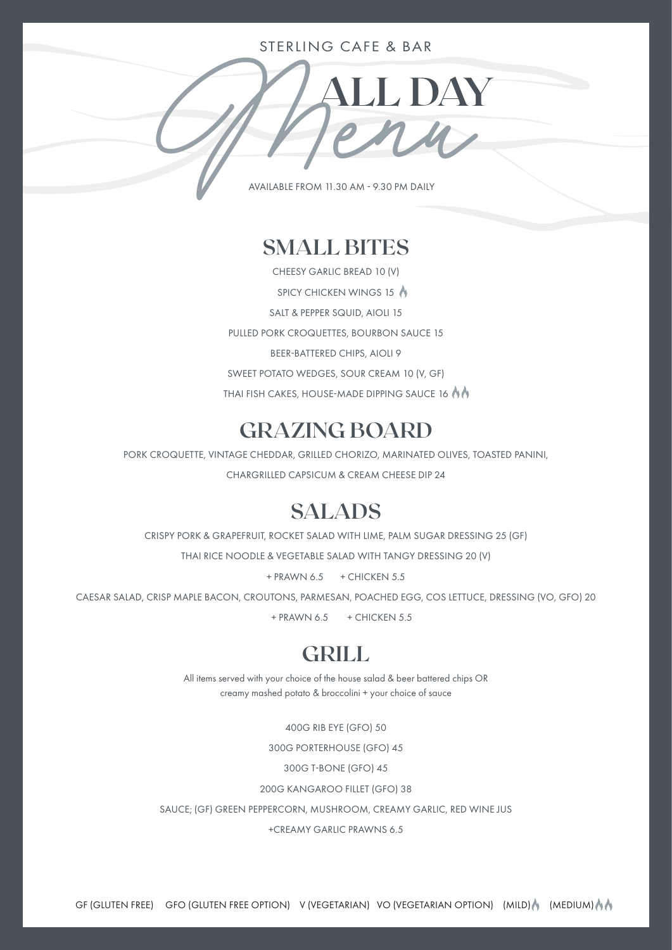#### STERLING CAFE & BAR

**MILDAY** AVAILABLE FROM 11.30 AM - 9.30 PM DAILY

### **SMALL BITES**

CHEESY GARLIC BREAD 10 (V) SPICY CHICKEN WINGS 15 SALT & PEPPER SQUID, AIOLI 15 PULLED PORK CROQUETTES, BOURBON SAUCE 15 BEER-BATTERED CHIPS, AIOLI 9 SWEET POTATO WEDGES, SOUR CREAM 10 (V, GF) THAI FISH CAKES, HOUSE-MADE DIPPING SAUCE 16

# **GRAZING BOARD**

PORK CROQUETTE, VINTAGE CHEDDAR, GRILLED CHORIZO, MARINATED OLIVES, TOASTED PANINI, CHARGRILLED CAPSICUM & CREAM CHEESE DIP 24

## **SALADS**

CRISPY PORK & GRAPEFRUIT, ROCKET SALAD WITH LIME, PALM SUGAR DRESSING 25 (GF)

THAI RICE NOODLE & VEGETABLE SALAD WITH TANGY DRESSING 20 (V)

 $+$  PRAWN 6.5  $+$  CHICKEN 5.5

CAESAR SALAD, CRISP MAPLE BACON, CROUTONS, PARMESAN, POACHED EGG, COS LETTUCE, DRESSING (VO, GFO) 20

 $+$  PRAWN 6.5  $+$  CHICKEN 5.5

## **GRILL**

All items served with your choice of the house salad & beer battered chips OR creamy mashed potato & broccolini + your choice of sauce

400G RIB EYE (GFO) 50

300G PORTERHOUSE (GFO) 45

300G T-BONE (GFO) 45

200G KANGAROO FILLET (GFO) 38

SAUCE; (GF) GREEN PEPPERCORN, MUSHROOM, CREAMY GARLIC, RED WINE JUS

+CREAMY GARLIC PRAWNS 6.5